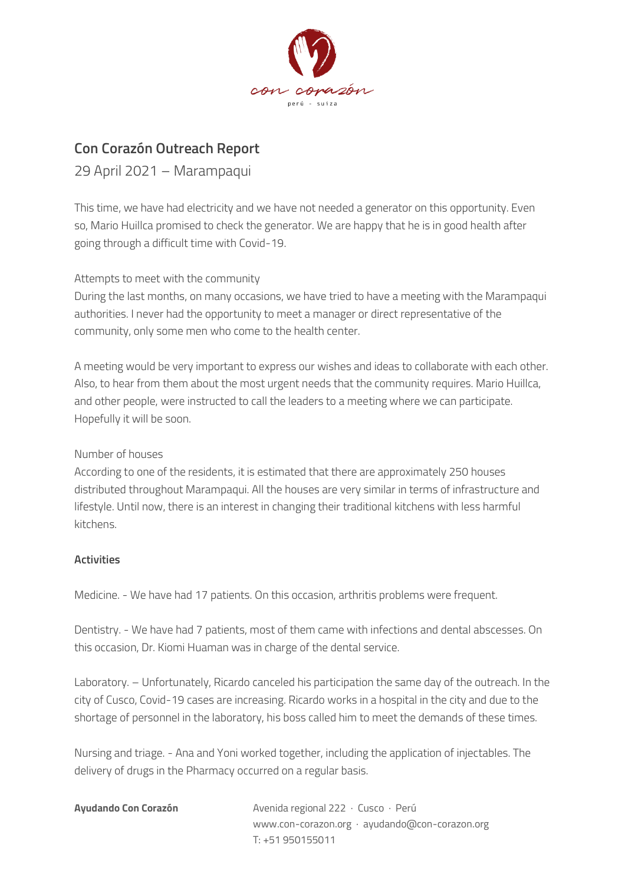

## **Con Corazón Outreach Report**

29 April 2021 – Marampaqui

This time, we have had electricity and we have not needed a generator on this opportunity. Even so, Mario Huillca promised to check the generator. We are happy that he is in good health after going through a difficult time with Covid-19.

## Attempts to meet with the community

During the last months, on many occasions, we have tried to have a meeting with the Marampaqui authorities. I never had the opportunity to meet a manager or direct representative of the community, only some men who come to the health center.

A meeting would be very important to express our wishes and ideas to collaborate with each other. Also, to hear from them about the most urgent needs that the community requires. Mario Huillca, and other people, were instructed to call the leaders to a meeting where we can participate. Hopefully it will be soon.

## Number of houses

According to one of the residents, it is estimated that there are approximately 250 houses distributed throughout Marampaqui. All the houses are very similar in terms of infrastructure and lifestyle. Until now, there is an interest in changing their traditional kitchens with less harmful kitchens.

## **Activities**

Medicine. - We have had 17 patients. On this occasion, arthritis problems were frequent.

Dentistry. - We have had 7 patients, most of them came with infections and dental abscesses. On this occasion, Dr. Kiomi Huaman was in charge of the dental service.

Laboratory. – Unfortunately, Ricardo canceled his participation the same day of the outreach. In the city of Cusco, Covid-19 cases are increasing. Ricardo works in a hospital in the city and due to the shortage of personnel in the laboratory, his boss called him to meet the demands of these times.

Nursing and triage. - Ana and Yoni worked together, including the application of injectables. The delivery of drugs in the Pharmacy occurred on a regular basis.

| Ayudando Con Corazón | Avenida regional 222 · Cusco · Perú            |
|----------------------|------------------------------------------------|
|                      | www.con-corazon.org · ayudando@con-corazon.org |
|                      | T: +51 950155011                               |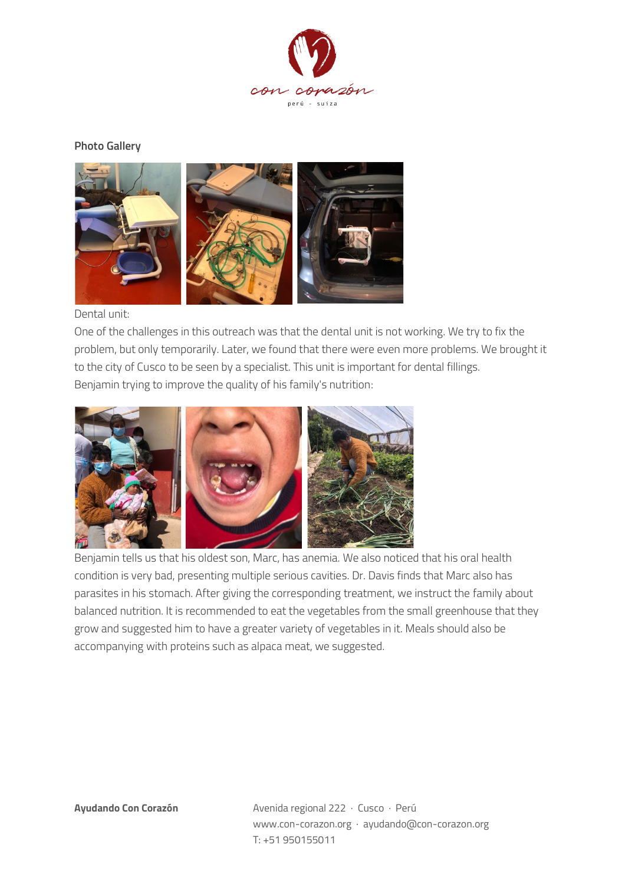

**Photo Gallery**



Dental unit:

One of the challenges in this outreach was that the dental unit is not working. We try to fix the problem, but only temporarily. Later, we found that there were even more problems. We brought it to the city of Cusco to be seen by a specialist. This unit is important for dental fillings. Benjamin trying to improve the quality of his family's nutrition:



Benjamin tells us that his oldest son, Marc, has anemia. We also noticed that his oral health condition is very bad, presenting multiple serious cavities. Dr. Davis finds that Marc also has parasites in his stomach. After giving the corresponding treatment, we instruct the family about balanced nutrition. It is recommended to eat the vegetables from the small greenhouse that they grow and suggested him to have a greater variety of vegetables in it. Meals should also be accompanying with proteins such as alpaca meat, we suggested.

**Ayudando Con Corazón** Avenida regional 222 · Cusco · Perú www.con-corazon.org · ayudando@con-corazon.org T: +51 950155011